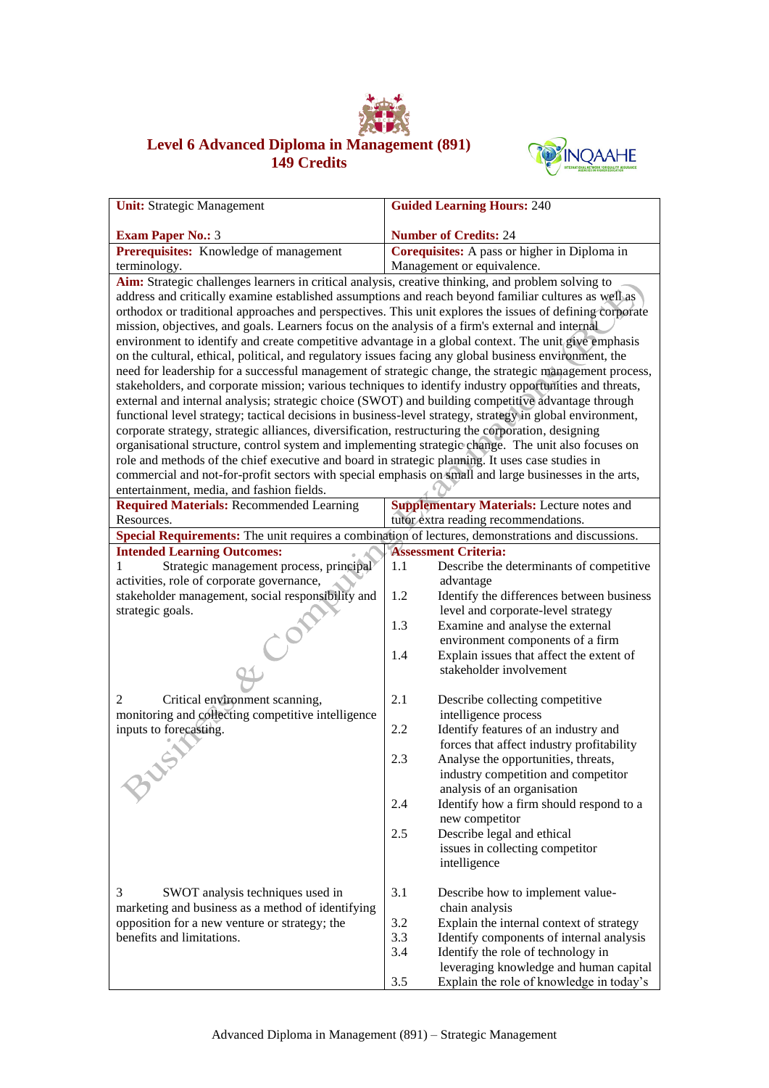

## **Level 6 Advanced Diploma in Management (891) 149 Credits**



| <b>Unit:</b> Strategic Management                                                                                                                                                                        | <b>Guided Learning Hours: 240</b>                                                                      |  |  |
|----------------------------------------------------------------------------------------------------------------------------------------------------------------------------------------------------------|--------------------------------------------------------------------------------------------------------|--|--|
| <b>Exam Paper No.: 3</b>                                                                                                                                                                                 | <b>Number of Credits: 24</b>                                                                           |  |  |
| Prerequisites: Knowledge of management                                                                                                                                                                   | Corequisites: A pass or higher in Diploma in                                                           |  |  |
| terminology.                                                                                                                                                                                             | Management or equivalence.                                                                             |  |  |
| Aim: Strategic challenges learners in critical analysis, creative thinking, and problem solving to                                                                                                       |                                                                                                        |  |  |
| address and critically examine established assumptions and reach beyond familiar cultures as well as                                                                                                     |                                                                                                        |  |  |
| orthodox or traditional approaches and perspectives. This unit explores the issues of defining corporate                                                                                                 |                                                                                                        |  |  |
| mission, objectives, and goals. Learners focus on the analysis of a firm's external and internal                                                                                                         |                                                                                                        |  |  |
| environment to identify and create competitive advantage in a global context. The unit give emphasis                                                                                                     |                                                                                                        |  |  |
| on the cultural, ethical, political, and regulatory issues facing any global business environment, the                                                                                                   |                                                                                                        |  |  |
|                                                                                                                                                                                                          | need for leadership for a successful management of strategic change, the strategic management process, |  |  |
| stakeholders, and corporate mission; various techniques to identify industry opportunities and threats,                                                                                                  |                                                                                                        |  |  |
| external and internal analysis; strategic choice (SWOT) and building competitive advantage through                                                                                                       |                                                                                                        |  |  |
| functional level strategy; tactical decisions in business-level strategy, strategy in global environment,                                                                                                |                                                                                                        |  |  |
| corporate strategy, strategic alliances, diversification, restructuring the corporation, designing                                                                                                       |                                                                                                        |  |  |
| organisational structure, control system and implementing strategic change. The unit also focuses on<br>role and methods of the chief executive and board in strategic planning. It uses case studies in |                                                                                                        |  |  |
| commercial and not-for-profit sectors with special emphasis on small and large businesses in the arts,                                                                                                   |                                                                                                        |  |  |
| entertainment, media, and fashion fields.                                                                                                                                                                |                                                                                                        |  |  |
| <b>Required Materials: Recommended Learning</b>                                                                                                                                                          | <b>Supplementary Materials:</b> Lecture notes and                                                      |  |  |
| Resources.                                                                                                                                                                                               | tutor extra reading recommendations.                                                                   |  |  |
| Special Requirements: The unit requires a combination of lectures, demonstrations and discussions.                                                                                                       |                                                                                                        |  |  |
| <b>Intended Learning Outcomes:</b>                                                                                                                                                                       | <b>Assessment Criteria:</b>                                                                            |  |  |
| Strategic management process, principal<br>1                                                                                                                                                             | 1.1<br>Describe the determinants of competitive                                                        |  |  |
| activities, role of corporate governance,                                                                                                                                                                | advantage                                                                                              |  |  |
| stakeholder management, social responsibility and                                                                                                                                                        | 1.2<br>Identify the differences between business                                                       |  |  |
| strategic goals.                                                                                                                                                                                         | level and corporate-level strategy                                                                     |  |  |
|                                                                                                                                                                                                          | 1.3<br>Examine and analyse the external                                                                |  |  |
| $\mathcal{C}^{\hat{\mathcal{O}}}$                                                                                                                                                                        | environment components of a firm<br>1.4                                                                |  |  |
|                                                                                                                                                                                                          | Explain issues that affect the extent of<br>stakeholder involvement                                    |  |  |
|                                                                                                                                                                                                          |                                                                                                        |  |  |
| Critical environment scanning,<br>2                                                                                                                                                                      | 2.1<br>Describe collecting competitive                                                                 |  |  |
| monitoring and collecting competitive intelligence                                                                                                                                                       | intelligence process                                                                                   |  |  |
| inputs to forecasting.                                                                                                                                                                                   | 2.2<br>Identify features of an industry and                                                            |  |  |
|                                                                                                                                                                                                          | forces that affect industry profitability                                                              |  |  |
|                                                                                                                                                                                                          | 2.3<br>Analyse the opportunities, threats,                                                             |  |  |
|                                                                                                                                                                                                          | industry competition and competitor                                                                    |  |  |
|                                                                                                                                                                                                          | analysis of an organisation                                                                            |  |  |
|                                                                                                                                                                                                          | 2.4<br>Identify how a firm should respond to a                                                         |  |  |
|                                                                                                                                                                                                          | new competitor                                                                                         |  |  |
|                                                                                                                                                                                                          | 2.5<br>Describe legal and ethical                                                                      |  |  |
|                                                                                                                                                                                                          | issues in collecting competitor                                                                        |  |  |
|                                                                                                                                                                                                          | intelligence                                                                                           |  |  |
| 3<br>SWOT analysis techniques used in                                                                                                                                                                    | 3.1<br>Describe how to implement value-                                                                |  |  |
| marketing and business as a method of identifying                                                                                                                                                        | chain analysis                                                                                         |  |  |
| opposition for a new venture or strategy; the                                                                                                                                                            | 3.2<br>Explain the internal context of strategy                                                        |  |  |
| benefits and limitations.                                                                                                                                                                                | 3.3<br>Identify components of internal analysis                                                        |  |  |
|                                                                                                                                                                                                          | 3.4<br>Identify the role of technology in                                                              |  |  |
|                                                                                                                                                                                                          | leveraging knowledge and human capital                                                                 |  |  |
|                                                                                                                                                                                                          | Explain the role of knowledge in today's<br>3.5                                                        |  |  |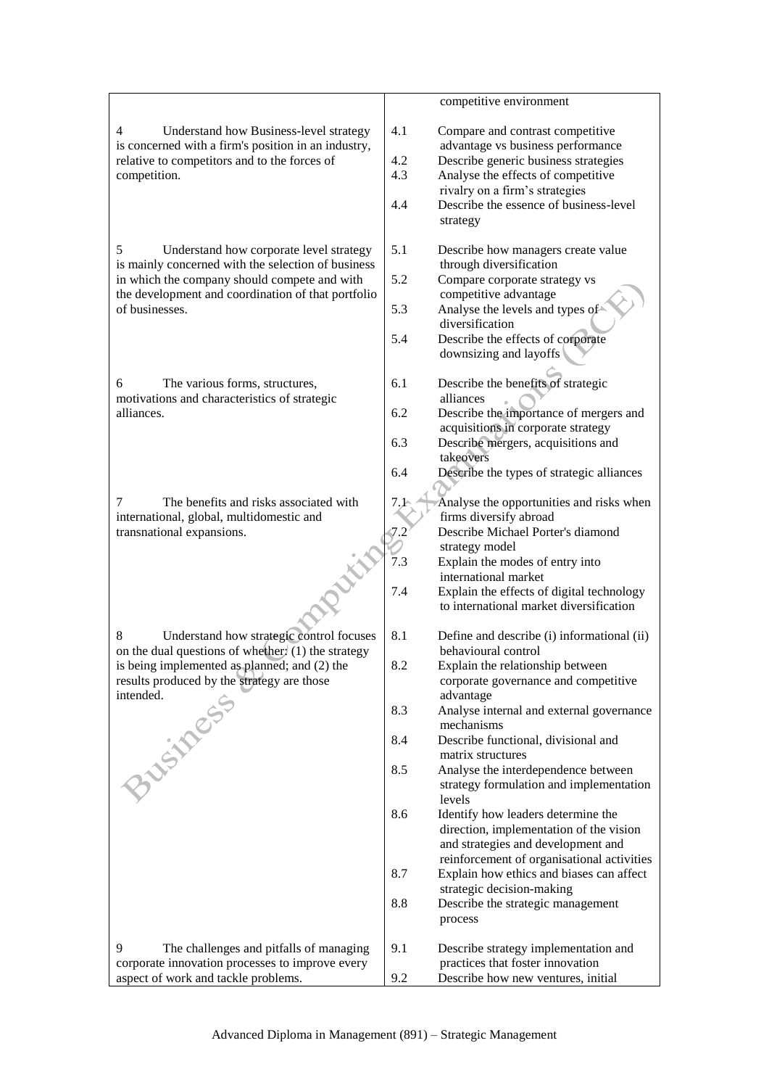|                                                                                                    |     | competitive environment                                                       |
|----------------------------------------------------------------------------------------------------|-----|-------------------------------------------------------------------------------|
| Understand how Business-level strategy<br>4<br>is concerned with a firm's position in an industry, | 4.1 | Compare and contrast competitive<br>advantage vs business performance         |
| relative to competitors and to the forces of                                                       | 4.2 | Describe generic business strategies                                          |
| competition.                                                                                       | 4.3 | Analyse the effects of competitive                                            |
|                                                                                                    |     | rivalry on a firm's strategies                                                |
|                                                                                                    | 4.4 | Describe the essence of business-level                                        |
|                                                                                                    |     | strategy                                                                      |
| 5<br>Understand how corporate level strategy                                                       | 5.1 | Describe how managers create value                                            |
| is mainly concerned with the selection of business                                                 |     | through diversification                                                       |
| in which the company should compete and with                                                       | 5.2 | Compare corporate strategy vs                                                 |
| the development and coordination of that portfolio                                                 |     | competitive advantage                                                         |
| of businesses.                                                                                     | 5.3 | Analyse the levels and types of                                               |
|                                                                                                    |     | diversification                                                               |
|                                                                                                    | 5.4 | Describe the effects of corporate<br>downsizing and layoffs                   |
|                                                                                                    |     |                                                                               |
| The various forms, structures,<br>6                                                                | 6.1 | Describe the benefits of strategic                                            |
| motivations and characteristics of strategic                                                       |     | alliances                                                                     |
| alliances.                                                                                         | 6.2 | Describe the importance of mergers and                                        |
|                                                                                                    |     | acquisitions in corporate strategy                                            |
|                                                                                                    | 6.3 | Describe mergers, acquisitions and<br>takeovers                               |
|                                                                                                    | 6.4 | Describe the types of strategic alliances                                     |
|                                                                                                    |     |                                                                               |
| The benefits and risks associated with<br>7                                                        | 7.1 | Analyse the opportunities and risks when                                      |
| international, global, multidomestic and<br>transnational expansions.                              | 7.2 | firms diversify abroad<br>Describe Michael Porter's diamond                   |
|                                                                                                    |     | strategy model                                                                |
|                                                                                                    | 7.3 | Explain the modes of entry into                                               |
|                                                                                                    |     | international market                                                          |
|                                                                                                    | 7.4 | Explain the effects of digital technology                                     |
|                                                                                                    |     | to international market diversification                                       |
| Understand how strategic control focuses<br>8                                                      | 8.1 | Define and describe (i) informational (ii)                                    |
| on the dual questions of whether. $(1)$ the strategy                                               |     | behavioural control                                                           |
| is being implemented as planned; and (2) the                                                       | 8.2 | Explain the relationship between                                              |
| results produced by the strategy are those                                                         |     | corporate governance and competitive                                          |
|                                                                                                    |     | advantage                                                                     |
|                                                                                                    | 8.3 | Analyse internal and external governance<br>mechanisms                        |
| Business.                                                                                          | 8.4 | Describe functional, divisional and                                           |
|                                                                                                    |     | matrix structures                                                             |
|                                                                                                    | 8.5 | Analyse the interdependence between                                           |
|                                                                                                    |     | strategy formulation and implementation                                       |
|                                                                                                    |     | levels                                                                        |
|                                                                                                    | 8.6 | Identify how leaders determine the                                            |
|                                                                                                    |     | direction, implementation of the vision<br>and strategies and development and |
|                                                                                                    |     | reinforcement of organisational activities                                    |
|                                                                                                    | 8.7 | Explain how ethics and biases can affect                                      |
|                                                                                                    |     | strategic decision-making                                                     |
|                                                                                                    | 8.8 | Describe the strategic management                                             |
|                                                                                                    |     | process                                                                       |
|                                                                                                    |     |                                                                               |
| 9<br>The challenges and pitfalls of managing<br>corporate innovation processes to improve every    | 9.1 | Describe strategy implementation and<br>practices that foster innovation      |
| aspect of work and tackle problems.                                                                | 9.2 | Describe how new ventures, initial                                            |
|                                                                                                    |     |                                                                               |